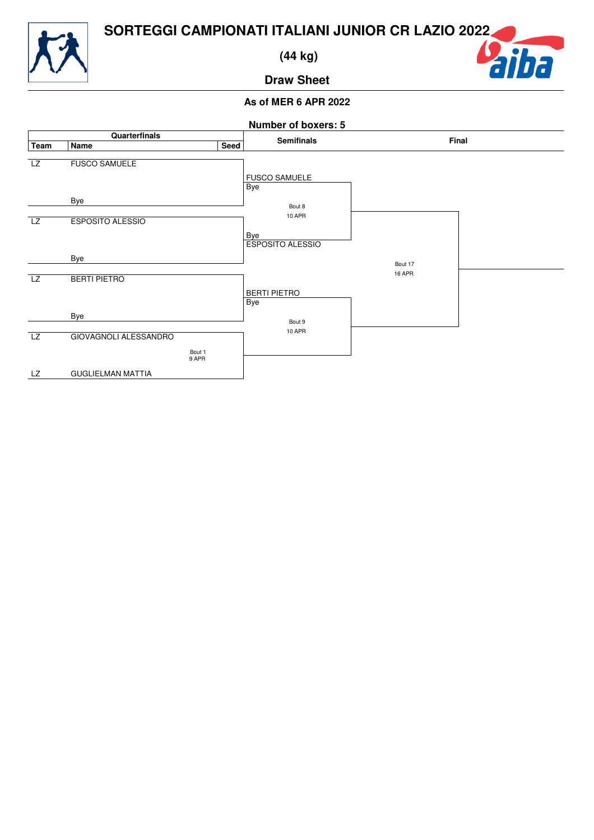

 **(44 kg)**

## iba

**Draw Sheet**

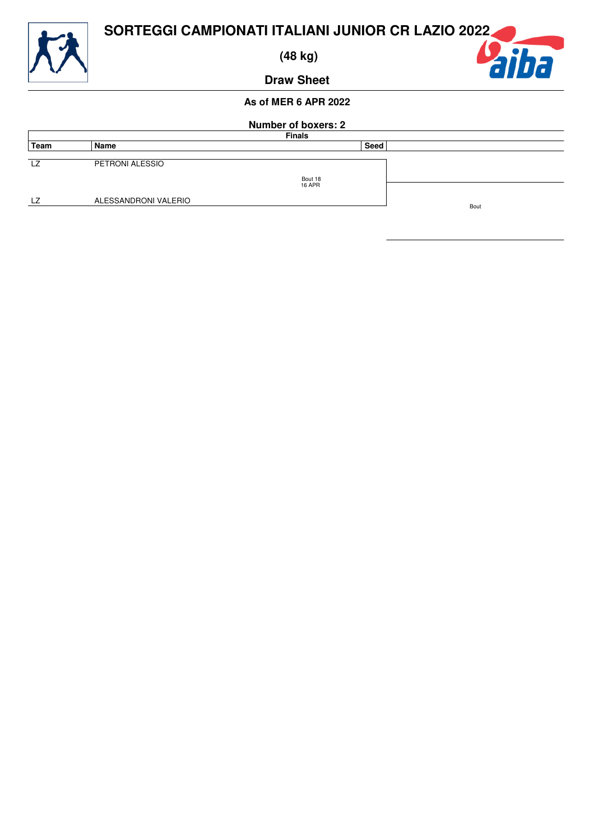

 **(48 kg)**

aiba

**Draw Sheet**

| <b>Number of boxers: 2</b> |                      |               |             |      |  |
|----------------------------|----------------------|---------------|-------------|------|--|
|                            | <b>Finals</b>        |               |             |      |  |
| Team                       | Name                 |               | <b>Seed</b> |      |  |
|                            |                      |               |             |      |  |
| LZ                         | PETRONI ALESSIO      |               |             |      |  |
|                            |                      | Bout 18       |             |      |  |
|                            |                      | <b>16 APR</b> |             |      |  |
|                            |                      |               |             |      |  |
| LZ                         | ALESSANDRONI VALERIO |               |             |      |  |
|                            |                      |               |             | Bout |  |
|                            |                      |               |             |      |  |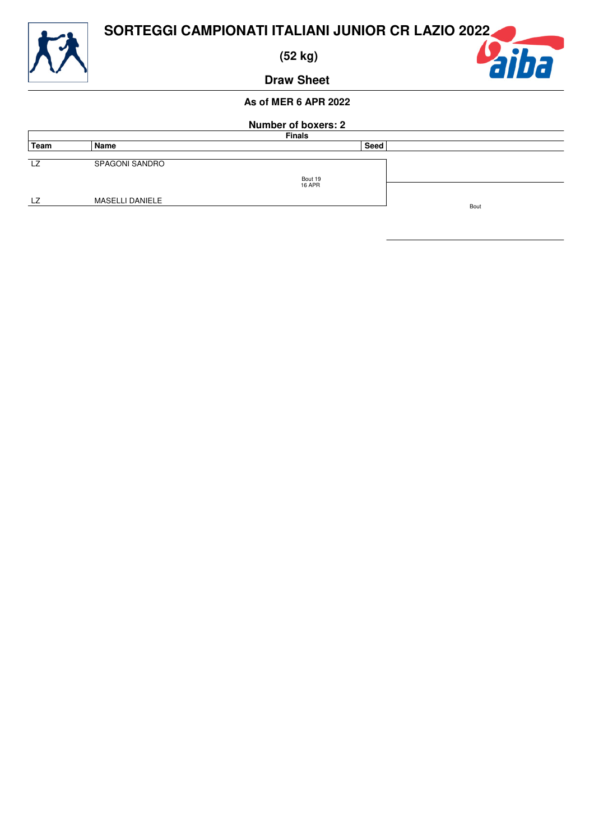

 **(52 kg)**



**Draw Sheet**

| <b>Number of boxers: 2</b> |                 |               |      |  |  |  |
|----------------------------|-----------------|---------------|------|--|--|--|
|                            | <b>Finals</b>   |               |      |  |  |  |
| Team                       | Name            | <b>Seed</b>   |      |  |  |  |
| LZ                         | SPAGONI SANDRO  | Bout 19       |      |  |  |  |
| . 7                        | MASELLI DANIELE | <b>16 APR</b> | Bout |  |  |  |
|                            |                 |               |      |  |  |  |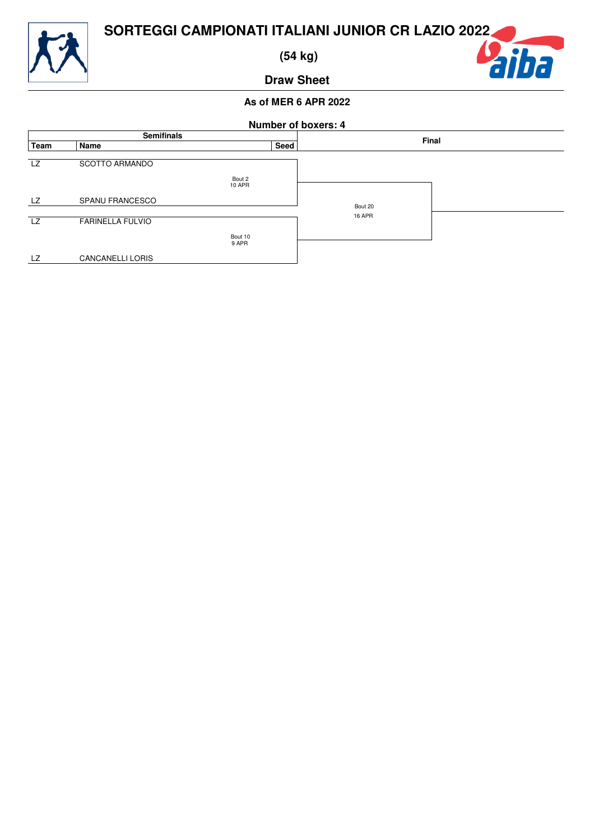

 **(54 kg)**

### **Draw Sheet**

# aiba

| <b>Number of boxers: 4</b> |                         |                         |               |       |  |
|----------------------------|-------------------------|-------------------------|---------------|-------|--|
|                            | <b>Semifinals</b>       |                         |               | Final |  |
| Team                       | Name                    | Seed                    |               |       |  |
| LZ                         | <b>SCOTTO ARMANDO</b>   |                         |               |       |  |
|                            |                         | Bout 2<br><b>10 APR</b> |               |       |  |
| LZ                         | SPANU FRANCESCO         |                         | Bout 20       |       |  |
|                            |                         |                         | <b>16 APR</b> |       |  |
| LZ                         | <b>FARINELLA FULVIO</b> |                         |               |       |  |
|                            |                         | Bout 10                 |               |       |  |
|                            |                         | 9 APR                   |               |       |  |
| LZ                         | <b>CANCANELLI LORIS</b> |                         |               |       |  |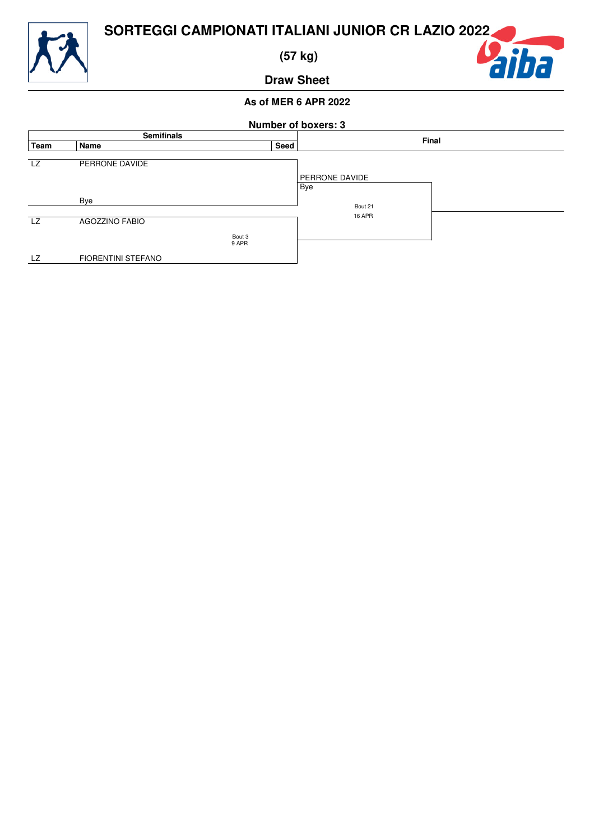

 **(57 kg)**

### **Draw Sheet**

# aiha

| <b>Number of boxers: 3</b> |                           |                 |                              |  |
|----------------------------|---------------------------|-----------------|------------------------------|--|
| <b>Semifinals</b>          |                           |                 | Final                        |  |
| Team                       | Name                      | Seed            |                              |  |
| <b>LZ</b>                  | PERRONE DAVIDE            |                 | <b>PERRONE DAVIDE</b><br>Bye |  |
|                            | Bye                       |                 | Bout 21                      |  |
| <b>LZ</b>                  | <b>AGOZZINO FABIO</b>     | Bout 3<br>9 APR | <b>16 APR</b>                |  |
| LZ                         | <b>FIORENTINI STEFANO</b> |                 |                              |  |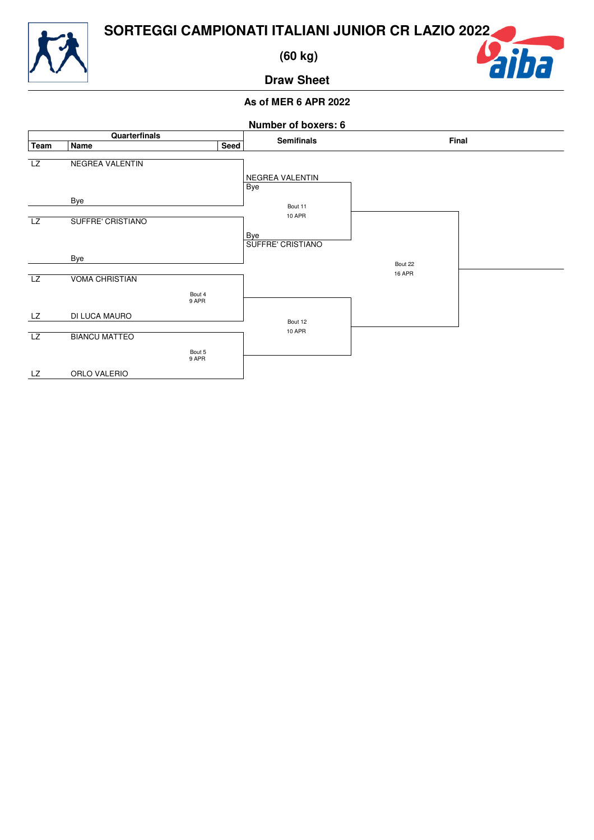

 **(60 kg)**

### aiha

**Draw Sheet**

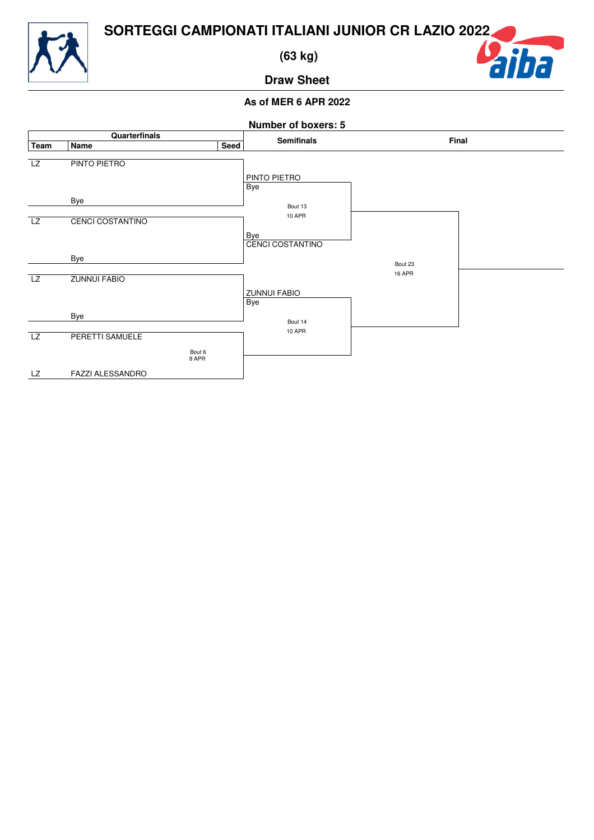

 **(63 kg)**

## aiha

**Draw Sheet**

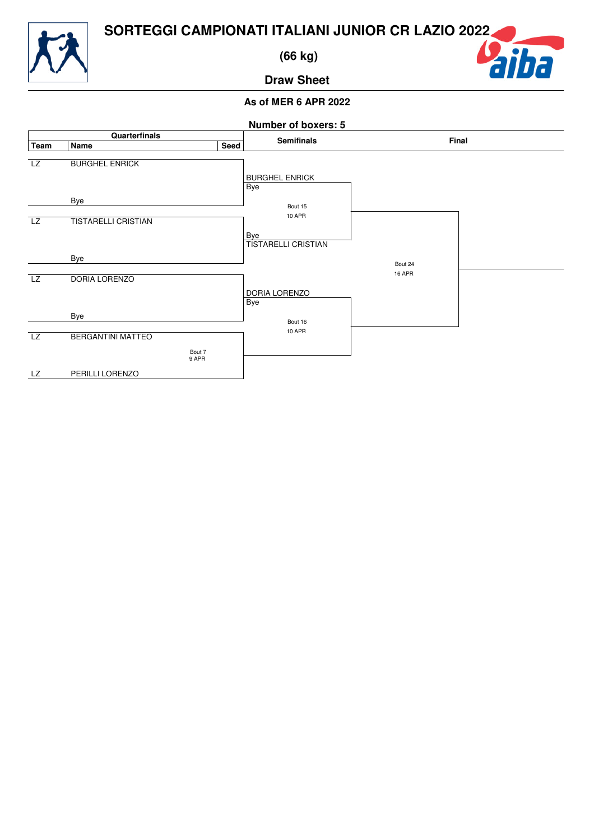

 **(66 kg)**



**Draw Sheet**

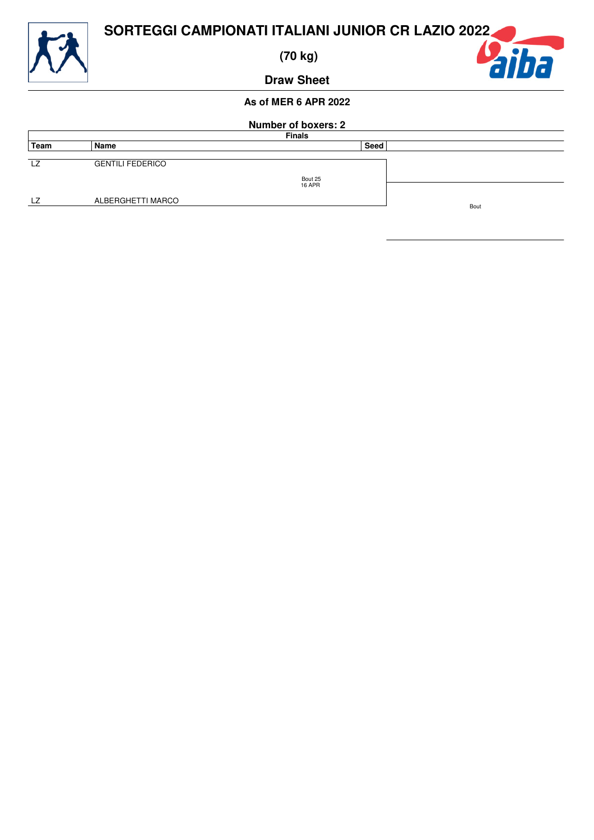

 **(70 kg)**



**Draw Sheet**

| <b>Number of boxers: 2</b> |                         |               |      |      |  |
|----------------------------|-------------------------|---------------|------|------|--|
|                            | <b>Finals</b>           |               |      |      |  |
| Team                       | Name                    |               | Seed |      |  |
| LZ                         | <b>GENTILI FEDERICO</b> | Bout 25       |      |      |  |
| LZ.                        | ALBERGHETTI MARCO       | <b>16 APR</b> |      | Bout |  |
|                            |                         |               |      |      |  |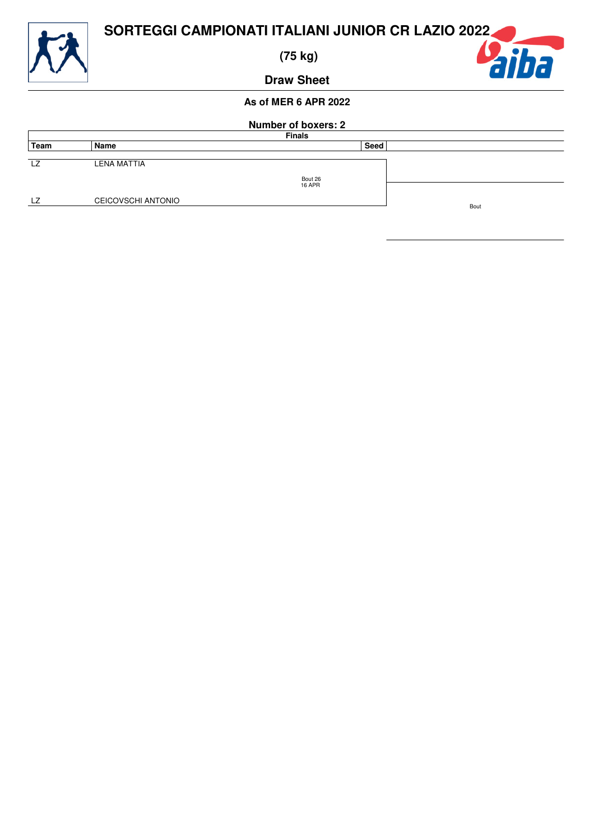

 **(75 kg)**



**Draw Sheet**

| <b>Number of boxers: 2</b> |                           |                          |      |  |  |  |
|----------------------------|---------------------------|--------------------------|------|--|--|--|
|                            | <b>Finals</b>             |                          |      |  |  |  |
| Team                       | Name                      |                          | Seed |  |  |  |
| LZ                         | LENA MATTIA               |                          |      |  |  |  |
|                            |                           | Bout 26<br><b>16 APR</b> |      |  |  |  |
| LZ                         | <b>CEICOVSCHI ANTONIO</b> |                          |      |  |  |  |
| Bout                       |                           |                          |      |  |  |  |